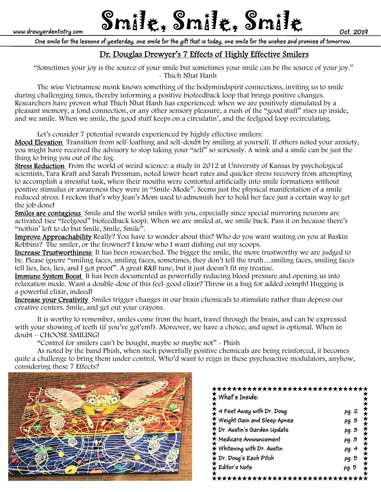# www.drewyerdentistry.com **Smille, Smille, Smille, Smille**

**One smile for the lessons of yesterday, one smile for the gift that is today, one smile for the wishes and promise of tomorrow.**

## Dr. Douglas Drewyer's 7 Effects of Highly Effective Smilers

 "Sometimes your joy is the source of your smile but sometimes your smile can be the source of your joy." - Thich Nhat Hanh

The wise Vietnamese monk knows something of the bodymindspirit connections, inviting us to smile during challenging times, thereby informing a positive biofeedback loop that brings positive changes. Researchers have proven what Thich Nhat Hanh has experienced: when we are positively stimulated by a pleasant memory, a fond connection, or any other sensory pleasure, a rush of the "good stuff" rises up inside, and we smile. When we smile, the good stuff keeps on a circulatin', and the feelgood loop recirculating.

Let's consider 7 potential rewards experienced by highly effective smilers:

Mood Elevation Transition from self-loathing and self-doubt by smiling at yourself. If others noted your anxiety, you might have received the advisory to stop taking your "self" so seriously. A wink and a smile can be just the thing to bring you out of the fog.

Stress Reduction From the world of weird science: a study in 2012 at University of Kansas by psychological scientists, Tara Kraft and Sarah Pressman, noted lower heart rates and quicker stress recovery from attempting to accomplish a stressful task, when their mouths were contorted artificially into smile formations without positive stimulus or awareness they were in "Smile-Mode". Seems just the physical manifestation of a smile reduced stress. I reckon that's why Jean's Mom used to admonish her to hold her face just a certain way to get the job done!

Smiles are contagious Smile and the world smiles with you, especially since special mirroring neurons are activated (see "feelgood" biofeedback loop). When we are smiled at, we smile back. Pass it on because there's "nothin' left to do but Smile, Smile, Smile".

Improve Approachability Really? You have to wonder about this? Who do you want waiting on you at Baskin Robbins? The smiler, or the frowner? I know who I want dishing out my scoops.

Increase Trustworthiness It has been researched. The bigger the smile, the more trustworthy we are judged to be. Please ignore "smiling faces, smiling faces, sometimes, they don't tell the truth…smiling faces, smiling faces tell lies, lies, lies, and I got proof". A great R&B tune, but it just doesn't fit my treatise.

**Immune System Boost** It has been documented as powerfully reducing blood pressure and opening us into relaxation mode. Want a double-dose of this feel-good elixir? Throw in a hug for added oomph! Hugging is a powerful elixir, indeed!

Increase your Creativity Smiles trigger changes in our brain chemicals to stimulate rather than depress our creative centers. Smile, and get out your crayons.

 It is worthy to remember, smiles come from the heart, travel through the brain, and can be expressed with your showing of teeth (if you've got'em!). Moreover, we have a choice, and upset is optional. When in doubt – CHOOSE SMILING!

"Control for smilers can't be bought, maybe so maybe not" - Phish

 As noted by the band Phish, when such powerfully positive chemicals are being reinforced, it becomes quite a challenge to bring them under control. Who'd want to reign in these psychoactive modulators, anyhow, considering these 7 Effects?



# \*\*\*\*\*\*\*\*\*\*\*\*\*\*\*\*\*\*\*\*\*\*<br>\* What's Inside:

| $\Sigma$ 4 Feet Away with Dr. Doug      | pg. 2 |
|-----------------------------------------|-------|
| 杰 Weight Gain and Sleep Apnea           | pg. 3 |
| Dr. Austin's Garden Update              | pg. 3 |
| ★ Medicare Announcement                 | pg.3  |
| $\hat{\star}$ Whitening with Dr. Austin | pg. 4 |
| $\hat{\star}$ Dr. Doug's Each Pitch     | pg. 5 |
| $\hat{+}$ Editor's Note                 | pg. 5 |
|                                         |       |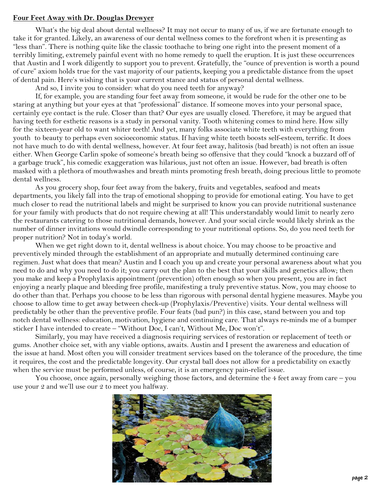#### **Four Feet Away with Dr. Douglas Drewyer**

What's the big deal about dental wellness? It may not occur to many of us, if we are fortunate enough to take it for granted. Likely, an awareness of our dental wellness comes to the forefront when it is presenting as "less than". There is nothing quite like the classic toothache to bring one right into the present moment of a terribly limiting, extremely painful event with no home remedy to quell the eruption. It is just these occurrences that Austin and I work diligently to support you to prevent. Gratefully, the "ounce of prevention is worth a pound of cure" axiom holds true for the vast majority of our patients, keeping you a predictable distance from the upset of dental pain. Here's wishing that is your current stance and status of personal dental wellness.

And so, I invite you to consider: what do you need teeth for anyway?

 If, for example, you are standing four feet away from someone, it would be rude for the other one to be staring at anything but your eyes at that "professional" distance. If someone moves into your personal space, certainly eye contact is the rule. Closer than that? Our eyes are usually closed. Therefore, it may be argued that having teeth for esthetic reasons is a study in personal vanity. Tooth whitening comes to mind here. How silly for the sixteen-year old to want whiter teeth! And yet, many folks associate white teeth with everything from youth to beauty to perhaps even socioeconomic status. If having white teeth boosts self-esteem, terrific. It does not have much to do with dental wellness, however. At four feet away, halitosis (bad breath) is not often an issue either. When George Carlin spoke of someone's breath being so offensive that they could "knock a buzzard off of a garbage truck", his comedic exaggeration was hilarious, just not often an issue. However, bad breath is often masked with a plethora of mouthwashes and breath mints promoting fresh breath, doing precious little to promote dental wellness.

 As you grocery shop, four feet away from the bakery, fruits and vegetables, seafood and meats departments, you likely fall into the trap of emotional shopping to provide for emotional eating. You have to get much closer to read the nutritional labels and might be surprised to know you can provide nutritional sustenance for your family with products that do not require chewing at all! This understandably would limit to nearly zero the restaurants catering to those nutritional demands, however. And your social circle would likely shrink as the number of dinner invitations would dwindle corresponding to your nutritional options. So, do you need teeth for proper nutrition? Not in today's world.

 When we get right down to it, dental wellness is about choice. You may choose to be proactive and preventively minded through the establishment of an appropriate and mutually determined continuing care regimen. Just what does that mean? Austin and I coach you up and create your personal awareness about what you need to do and why you need to do it; you carry out the plan to the best that your skills and genetics allow; then you make and keep a Prophylaxis appointment (prevention) often enough so when you present, you are in fact enjoying a nearly plaque and bleeding free profile, manifesting a truly preventive status. Now, you may choose to do other than that. Perhaps you choose to be less than rigorous with personal dental hygiene measures. Maybe you choose to allow time to get away between check-up (Prophylaxis/Preventive) visits. Your dental wellness will predictably be other than the preventive profile. Four feats (bad pun?) in this case, stand between you and top notch dental wellness: education, motivation, hygiene and continuing care. That always re-minds me of a bumper sticker I have intended to create – "Without Doc, I can't, Without Me, Doc won't".

 Similarly, you may have received a diagnosis requiring services of restoration or replacement of teeth or gums. Another choice set, with any viable options, awaits. Austin and I present the awareness and education of the issue at hand. Most often you will consider treatment services based on the tolerance of the procedure, the time it requires, the cost and the predictable longevity. Our crystal ball does not allow for a predictability on exactly when the service must be performed unless, of course, it is an emergency pain-relief issue.

 You choose, once again, personally weighing those factors, and determine the 4 feet away from care – you use your 2 and we'll use our 2 to meet you halfway.

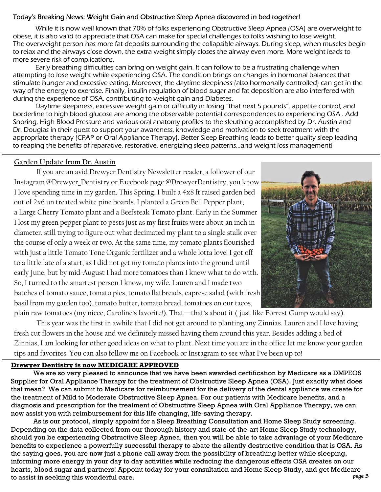#### Today's Breaking News: Weight Gain and Obstructive Sleep Apnea discovered in bed together!

While it is now well known that 70% of folks experiencing Obstructive Sleep Apnea (OSA) are overweight to obese, it is also valid to appreciate that OSA can make for special challenges to folks wishing to lose weight. The overweight person has more fat deposits surrounding the collapsible airways. During sleep, when muscles begin to relax and the airways close down, the extra weight simply closes the airway even more. More weight leads to more severe risk of complications.

 Early breathing difficulties can bring on weight gain. It can follow to be a frustrating challenge when attempting to lose weight while experiencing OSA. The condition brings on changes in hormonal balances that stimulate hunger and excessive eating. Moreover, the daytime sleepiness (also hormonally controlled) can get in the way of the energy to exercise. Finally, insulin regulation of blood sugar and fat deposition are also interfered with during the experience of OSA, contributing to weight gain and Diabetes.

 Daytime sleepiness, excessive weight gain or difficulty in losing "that next 5 pounds", appetite control, and borderline to high blood glucose are among the observable potential correspondences to experiencing OSA . Add Snoring, High Blood Pressure and various oral anatomy profiles to the sleuthing accomplished by Dr. Austin and Dr. Douglas in their quest to support your awareness, knowledge and motivation to seek treatment with the appropriate therapy (CPAP or Oral Appliance Therapy). Better Sleep Breathing leads to better quality sleep leading to reaping the benefits of reparative, restorative, energizing sleep patterns…and weight loss management!

#### **Garden Update from Dr. Austin**

If you are an avid Drewyer Dentistry Newsletter reader, a follower of our Instagram @Drewyer\_Dentistry or Facebook page @DrewyerDentistry, you know I love spending time in my garden. This Spring, I built a 4x8 ft raised garden bed out of 2x6 un treated white pine boards. I planted a Green Bell Pepper plant, a Large Cherry Tomato plant and a Beefsteak Tomato plant. Early in the Summer I lost my green pepper plant to pests just as my first fruits were about an inch in diameter, still trying to figure out what decimated my plant to a single stalk over the course of only a week or two. At the same time, my tomato plants flourished with just a little Tomato Tone Organic fertilizer and a whole lotta love! I got off to a little late of a start, as I did not get my tomato plants into the ground until early June, but by mid-August I had more tomatoes than I knew what to do with. So, I turned to the smartest person I know, my wife. Lauren and I made two batches of tomato sauce, tomato pies, tomato flatbreads, caprese salad (with fresh basil from my garden too), tomato butter, tomato bread, tomatoes on our tacos,



plain raw tomatoes (my niece, Caroline's favorite!). That—that's about it ( just like Forrest Gump would say). This year was the first in awhile that I did not get around to planting any Zinnias. Lauren and I love having fresh cut flowers in the house and we definitely missed having them around this year. Besides adding a bed of Zinnias, I am looking for other good ideas on what to plant. Next time you are in the office let me know your garden tips and favorites. You can also follow me on Facebook or Instagram to see what I've been up to!

#### **Drewyer Dentistry is now MEDICARE APPROVED**

 We are so very pleased to announce that we have been awarded certification by Medicare as a DMPEOS Supplier for Oral Appliance Therapy for the treatment of Obstructive Sleep Apnea (OSA). Just exactly what does that mean? We can submit to Medicare for reimbursement for the delivery of the dental appliance we create for the treatment of Mild to Moderate Obstructive Sleep Apnea. For our patients with Medicare benefits, and a diagnosis and prescription for the treatment of Obstructive Sleep Apnea with Oral Appliance Therapy, we can now assist you with reimbursement for this life changing, life-saving therapy.

 **page 3**  As is our protocol, simply appoint for a Sleep Breathing Consultation and Home Sleep Study screening. Depending on the data collected from our thorough history and state-of-the-art Home Sleep Study technology, should you be experiencing Obstructive Sleep Apnea, then you will be able to take advantage of your Medicare benefits to experience a powerfully successful therapy to abate the silently destructive condition that is OSA. As the saying goes, you are now just a phone call away from the possibility of breathing better while sleeping, informing more energy in your day to day activities while reducing the dangerous effects OSA creates on our hearts, blood sugar and partners! Appoint today for your consultation and Home Sleep Study, and get Medicare to assist in seeking this wonderful care.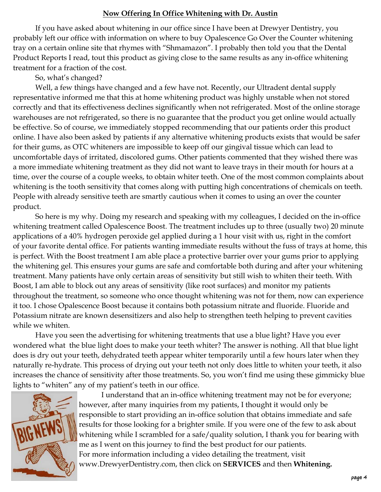#### **Now Offering In Office Whitening with Dr. Austin**

 If you have asked about whitening in our office since I have been at Drewyer Dentistry, you probably left our office with information on where to buy Opalescence Go Over the Counter whitening tray on a certain online site that rhymes with "Shmamazon". I probably then told you that the Dental Product Reports I read, tout this product as giving close to the same results as any in-office whitening treatment for a fraction of the cost.

So, what's changed?

 Well, a few things have changed and a few have not. Recently, our Ultradent dental supply representative informed me that this at home whitening product was highly unstable when not stored correctly and that its effectiveness declines significantly when not refrigerated. Most of the online storage warehouses are not refrigerated, so there is no guarantee that the product you get online would actually be effective. So of course, we immediately stopped recommending that our patients order this product online. I have also been asked by patients if any alternative whitening products exists that would be safer for their gums, as OTC whiteners are impossible to keep off our gingival tissue which can lead to uncomfortable days of irritated, discolored gums. Other patients commented that they wished there was a more immediate whitening treatment as they did not want to leave trays in their mouth for hours at a time, over the course of a couple weeks, to obtain whiter teeth. One of the most common complaints about whitening is the tooth sensitivity that comes along with putting high concentrations of chemicals on teeth. People with already sensitive teeth are smartly cautious when it comes to using an over the counter product.

 So here is my why. Doing my research and speaking with my colleagues, I decided on the in-office whitening treatment called Opalescence Boost. The treatment includes up to three (usually two) 20 minute applications of a 40% hydrogen peroxide gel applied during a 1 hour visit with us, right in the comfort of your favorite dental office. For patients wanting immediate results without the fuss of trays at home, this is perfect. With the Boost treatment I am able place a protective barrier over your gums prior to applying the whitening gel. This ensures your gums are safe and comfortable both during and after your whitening treatment. Many patients have only certain areas of sensitivity but still wish to whiten their teeth. With Boost, I am able to block out any areas of sensitivity (like root surfaces) and monitor my patients throughout the treatment, so someone who once thought whitening was not for them, now can experience it too. I chose Opalescence Boost because it contains both potassium nitrate and fluoride. Fluoride and Potassium nitrate are known desensitizers and also help to strengthen teeth helping to prevent cavities while we whiten.

 Have you seen the advertising for whitening treatments that use a blue light? Have you ever wondered what the blue light does to make your teeth whiter? The answer is nothing. All that blue light does is dry out your teeth, dehydrated teeth appear whiter temporarily until a few hours later when they naturally re-hydrate. This process of drying out your teeth not only does little to whiten your teeth, it also increases the chance of sensitivity after those treatments. So, you won't find me using these gimmicky blue lights to "whiten" any of my patient's teeth in our office.



 I understand that an in-office whitening treatment may not be for everyone; however, after many inquiries from my patients, I thought it would only be responsible to start providing an in-office solution that obtains immediate and safe results for those looking for a brighter smile. If you were one of the few to ask about whitening while I scrambled for a safe/quality solution, I thank you for bearing with me as I went on this journey to find the best product for our patients. For more information including a video detailing the treatment, visit www.DrewyerDentistry.com, then click on **SERVICES** and then **Whitening.**